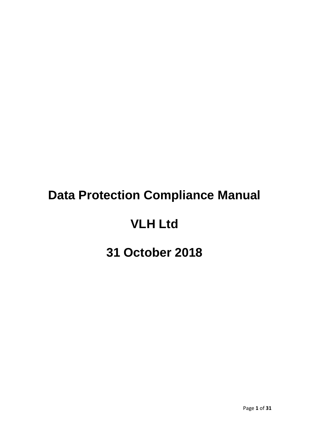# **Data Protection Compliance Manual**

# **VLH Ltd**

# **31 October 2018**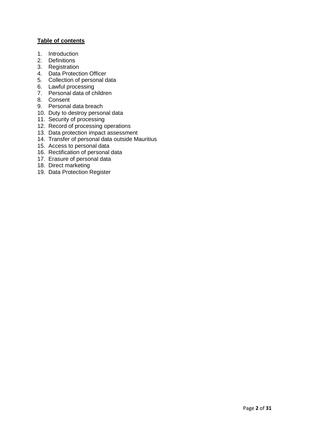#### **Table of contents**

- 1. Introduction
- 2. Definitions
- 3. Registration
- 4. Data Protection Officer
- 5. Collection of personal data
- 6. Lawful processing
- 7. Personal data of children
- 8. Consent
- 9. Personal data breach
- 10. Duty to destroy personal data
- 11. Security of processing
- 12. Record of processing operations
- 13. Data protection impact assessment
- 14. Transfer of personal data outside Mauritius
- 15. Access to personal data
- 16. Rectification of personal data
- 17. Erasure of personal data
- 18. Direct marketing
- 19. Data Protection Register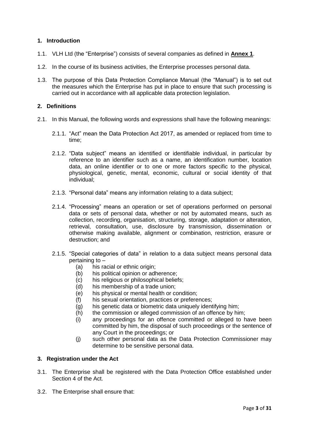#### **1. Introduction**

- 1.1. VLH Ltd (the "Enterprise") consists of several companies as defined in **Annex 1**.
- 1.2. In the course of its business activities, the Enterprise processes personal data.
- 1.3. The purpose of this Data Protection Compliance Manual (the "Manual") is to set out the measures which the Enterprise has put in place to ensure that such processing is carried out in accordance with all applicable data protection legislation.

#### **2. Definitions**

- 2.1. In this Manual, the following words and expressions shall have the following meanings:
	- 2.1.1. "Act" mean the Data Protection Act 2017, as amended or replaced from time to time;
	- 2.1.2. "Data subject" means an identified or identifiable individual, in particular by reference to an identifier such as a name, an identification number, location data, an online identifier or to one or more factors specific to the physical, physiological, genetic, mental, economic, cultural or social identity of that individual;
	- 2.1.3. "Personal data" means any information relating to a data subject;
	- 2.1.4. "Processing" means an operation or set of operations performed on personal data or sets of personal data, whether or not by automated means, such as collection, recording, organisation, structuring, storage, adaptation or alteration, retrieval, consultation, use, disclosure by transmission, dissemination or otherwise making available, alignment or combination, restriction, erasure or destruction; and
	- 2.1.5. "Special categories of data" in relation to a data subject means personal data pertaining to –
		- (a) his racial or ethnic origin;
		- (b) his political opinion or adherence;
		- (c) his religious or philosophical beliefs;
		- (d) his membership of a trade union;
		- (e) his physical or mental health or condition;
		- (f) his sexual orientation, practices or preferences;
		- (g) his genetic data or biometric data uniquely identifying him;
		- (h) the commission or alleged commission of an offence by him;
		- (i) any proceedings for an offence committed or alleged to have been committed by him, the disposal of such proceedings or the sentence of any Court in the proceedings; or
		- (j) such other personal data as the Data Protection Commissioner may determine to be sensitive personal data.

#### **3. Registration under the Act**

- 3.1. The Enterprise shall be registered with the Data Protection Office established under Section 4 of the Act.
- 3.2. The Enterprise shall ensure that: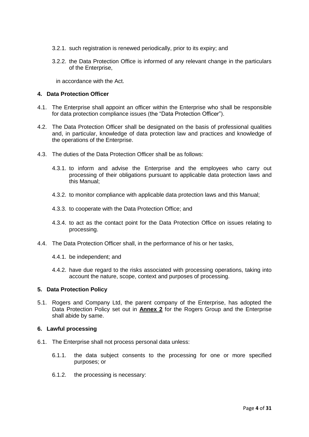- 3.2.1. such registration is renewed periodically, prior to its expiry; and
- 3.2.2. the Data Protection Office is informed of any relevant change in the particulars of the Enterprise,

in accordance with the Act.

#### **4. Data Protection Officer**

- 4.1. The Enterprise shall appoint an officer within the Enterprise who shall be responsible for data protection compliance issues (the "Data Protection Officer").
- 4.2. The Data Protection Officer shall be designated on the basis of professional qualities and, in particular, knowledge of data protection law and practices and knowledge of the operations of the Enterprise.
- 4.3. The duties of the Data Protection Officer shall be as follows:
	- 4.3.1. to inform and advise the Enterprise and the employees who carry out processing of their obligations pursuant to applicable data protection laws and this Manual;
	- 4.3.2. to monitor compliance with applicable data protection laws and this Manual;
	- 4.3.3. to cooperate with the Data Protection Office; and
	- 4.3.4. to act as the contact point for the Data Protection Office on issues relating to processing.
- 4.4. The Data Protection Officer shall, in the performance of his or her tasks,
	- 4.4.1. be independent; and
	- 4.4.2. have due regard to the risks associated with processing operations, taking into account the nature, scope, context and purposes of processing.

#### **5. Data Protection Policy**

5.1. Rogers and Company Ltd, the parent company of the Enterprise, has adopted the Data Protection Policy set out in **Annex 2** for the Rogers Group and the Enterprise shall abide by same.

#### **6. Lawful processing**

- 6.1. The Enterprise shall not process personal data unless:
	- 6.1.1. the data subject consents to the processing for one or more specified purposes; or
	- 6.1.2. the processing is necessary: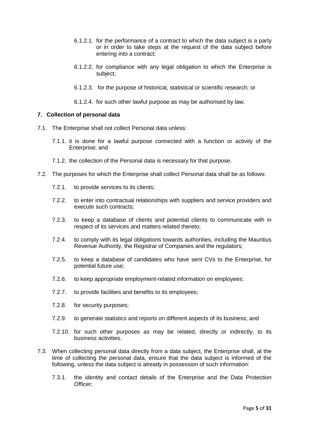- 6.1.2.1. for the performance of a contract to which the data subject is a party or in order to take steps at the request of the data subject before entering into a contract;
- 6.1.2.2. for compliance with any legal obligation to which the Enterprise is subject;
- 6.1.2.3. for the purpose of historical, statistical or scientific research; or
- 6.1.2.4. for such other lawful purpose as may be authorised by law.

#### **7. Collection of personal data**

- 7.1. The Enterprise shall not collect Personal data unless:
	- 7.1.1. it is done for a lawful purpose connected with a function or activity of the Enterprise; and
	- 7.1.2. the collection of the Personal data is necessary for that purpose.
- 7.2. The purposes for which the Enterprise shall collect Personal data shall be as follows:
	- 7.2.1. to provide services to its clients;
	- 7.2.2. to enter into contractual relationships with suppliers and service providers and execute such contracts;
	- 7.2.3. to keep a database of clients and potential clients to communicate with in respect of its services and matters related thereto;
	- 7.2.4. to comply with its legal obligations towards authorities, including the Mauritius Revenue Authority, the Registrar of Companies and the regulators;
	- 7.2.5. to keep a database of candidates who have sent CVs to the Enterprise, for potential future use;
	- 7.2.6. to keep appropriate employment-related information on employees;
	- 7.2.7. to provide facilities and benefits to its employees;
	- 7.2.8. for security purposes;
	- 7.2.9. to generate statistics and reports on different aspects of its business; and
	- 7.2.10. for such other purposes as may be related, directly or indirectly, to its business activities.
- 7.3. When collecting personal data directly from a data subject, the Enterprise shall, at the time of collecting the personal data, ensure that the data subject is informed of the following, unless the data subject is already in possession of such information:
	- 7.3.1. the identity and contact details of the Enterprise and the Data Protection Officer;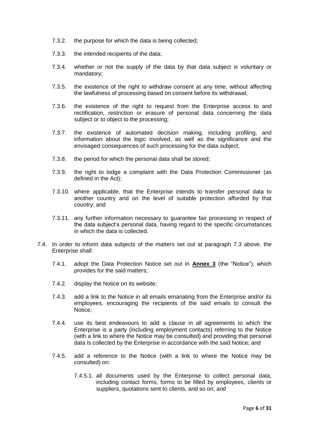- 7.3.2. the purpose for which the data is being collected;
- 7.3.3. the intended recipients of the data;
- 7.3.4. whether or not the supply of the data by that data subject is voluntary or mandatory;
- 7.3.5. the existence of the right to withdraw consent at any time, without affecting the lawfulness of processing based on consent before its withdrawal;
- 7.3.6. the existence of the right to request from the Enterprise access to and rectification, restriction or erasure of personal data concerning the data subject or to object to the processing;
- 7.3.7. the existence of automated decision making, including profiling, and information about the logic involved, as well as the significance and the envisaged consequences of such processing for the data subject;
- 7.3.8. the period for which the personal data shall be stored;
- 7.3.9. the right to lodge a complaint with the Data Protection Commissioner (as defined in the Act);
- 7.3.10. where applicable, that the Enterprise intends to transfer personal data to another country and on the level of suitable protection afforded by that country; and
- 7.3.11. any further information necessary to guarantee fair processing in respect of the data subject's personal data, having regard to the specific circumstances in which the data is collected.
- 7.4. In order to inform data subjects of the matters set out at paragraph 7.3 above, the Enterprise shall:
	- 7.4.1. adopt the Data Protection Notice set out in **Annex 3** (the "Notice"), which provides for the said matters;
	- 7.4.2. display the Notice on its website;
	- 7.4.3. add a link to the Notice in all emails emanating from the Enterprise and/or its employees, encouraging the recipients of the said emails to consult the Notice;
	- 7.4.4. use its best endeavours to add a clause in all agreements to which the Enterprise is a party (including employment contacts) referring to the Notice (with a link to where the Notice may be consulted) and providing that personal data is collected by the Enterprise in accordance with the said Notice; and
	- 7.4.5. add a reference to the Notice (with a link to where the Notice may be consulted) on:
		- 7.4.5.1. all documents used by the Enterprise to collect personal data, including contact forms, forms to be filled by employees, clients or suppliers, quotations sent to clients, and so on; and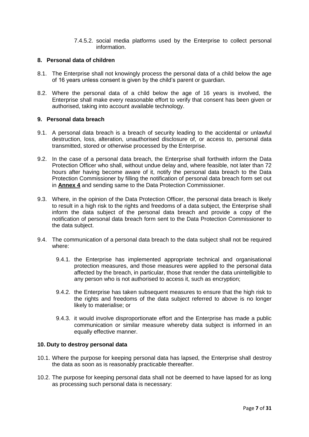7.4.5.2. social media platforms used by the Enterprise to collect personal information.

#### **8. Personal data of children**

- 8.1. The Enterprise shall not knowingly process the personal data of a child below the age of 16 years unless consent is given by the child's parent or guardian.
- 8.2. Where the personal data of a child below the age of 16 years is involved, the Enterprise shall make every reasonable effort to verify that consent has been given or authorised, taking into account available technology.

#### **9. Personal data breach**

- 9.1. A personal data breach is a breach of security leading to the accidental or unlawful destruction, loss, alteration, unauthorised disclosure of, or access to, personal data transmitted, stored or otherwise processed by the Enterprise.
- 9.2. In the case of a personal data breach, the Enterprise shall forthwith inform the Data Protection Officer who shall, without undue delay and, where feasible, not later than 72 hours after having become aware of it, notify the personal data breach to the Data Protection Commissioner by filling the notification of personal data breach form set out in **Annex 4** and sending same to the Data Protection Commissioner.
- 9.3. Where, in the opinion of the Data Protection Officer, the personal data breach is likely to result in a high risk to the rights and freedoms of a data subject, the Enterprise shall inform the data subject of the personal data breach and provide a copy of the notification of personal data breach form sent to the Data Protection Commissioner to the data subject.
- 9.4. The communication of a personal data breach to the data subject shall not be required where:
	- 9.4.1. the Enterprise has implemented appropriate technical and organisational protection measures, and those measures were applied to the personal data affected by the breach, in particular, those that render the data unintelligible to any person who is not authorised to access it, such as encryption;
	- 9.4.2. the Enterprise has taken subsequent measures to ensure that the high risk to the rights and freedoms of the data subject referred to above is no longer likely to materialise; or
	- 9.4.3. it would involve disproportionate effort and the Enterprise has made a public communication or similar measure whereby data subject is informed in an equally effective manner.

#### **10. Duty to destroy personal data**

- 10.1. Where the purpose for keeping personal data has lapsed, the Enterprise shall destroy the data as soon as is reasonably practicable thereafter.
- 10.2. The purpose for keeping personal data shall not be deemed to have lapsed for as long as processing such personal data is necessary: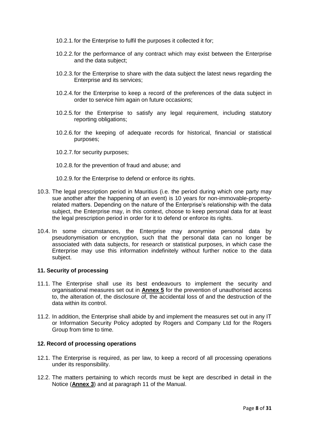- 10.2.1.for the Enterprise to fulfil the purposes it collected it for;
- 10.2.2.for the performance of any contract which may exist between the Enterprise and the data subject;
- 10.2.3.for the Enterprise to share with the data subject the latest news regarding the Enterprise and its services;
- 10.2.4.for the Enterprise to keep a record of the preferences of the data subject in order to service him again on future occasions;
- 10.2.5.for the Enterprise to satisfy any legal requirement, including statutory reporting obligations;
- 10.2.6.for the keeping of adequate records for historical, financial or statistical purposes;
- 10.2.7.for security purposes;
- 10.2.8.for the prevention of fraud and abuse; and
- 10.2.9.for the Enterprise to defend or enforce its rights.
- 10.3. The legal prescription period in Mauritius (i.e. the period during which one party may sue another after the happening of an event) is 10 years for non-immovable-propertyrelated matters. Depending on the nature of the Enterprise's relationship with the data subject, the Enterprise may, in this context, choose to keep personal data for at least the legal prescription period in order for it to defend or enforce its rights.
- 10.4. In some circumstances, the Enterprise may anonymise personal data by pseudonymisation or encryption, such that the personal data can no longer be associated with data subjects, for research or statistical purposes, in which case the Enterprise may use this information indefinitely without further notice to the data subject.

#### **11. Security of processing**

- 11.1. The Enterprise shall use its best endeavours to implement the security and organisational measures set out in **Annex 5** for the prevention of unauthorised access to, the alteration of, the disclosure  $\overline{of}$ , the accidental loss of and the destruction of the data within its control.
- 11.2. In addition, the Enterprise shall abide by and implement the measures set out in any IT or Information Security Policy adopted by Rogers and Company Ltd for the Rogers Group from time to time.

#### **12. Record of processing operations**

- 12.1. The Enterprise is required, as per law, to keep a record of all processing operations under its responsibility.
- 12.2. The matters pertaining to which records must be kept are described in detail in the Notice (**Annex 3**) and at paragraph 11 of the Manual.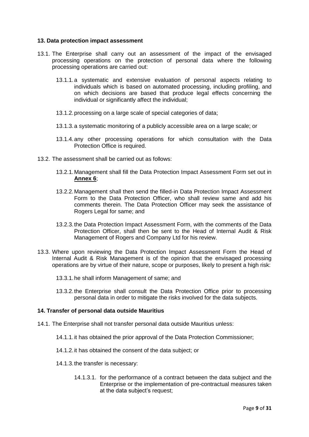#### **13. Data protection impact assessment**

- 13.1. The Enterprise shall carry out an assessment of the impact of the envisaged processing operations on the protection of personal data where the following processing operations are carried out:
	- 13.1.1.a systematic and extensive evaluation of personal aspects relating to individuals which is based on automated processing, including profiling, and on which decisions are based that produce legal effects concerning the individual or significantly affect the individual;
	- 13.1.2.processing on a large scale of special categories of data;
	- 13.1.3.a systematic monitoring of a publicly accessible area on a large scale; or
	- 13.1.4.any other processing operations for which consultation with the Data Protection Office is required.
- 13.2. The assessment shall be carried out as follows:
	- 13.2.1.Management shall fill the Data Protection Impact Assessment Form set out in **Annex 6**;
	- 13.2.2.Management shall then send the filled-in Data Protection Impact Assessment Form to the Data Protection Officer, who shall review same and add his comments therein. The Data Protection Officer may seek the assistance of Rogers Legal for same; and
	- 13.2.3.the Data Protection Impact Assessment Form, with the comments of the Data Protection Officer, shall then be sent to the Head of Internal Audit & Risk Management of Rogers and Company Ltd for his review.
- 13.3. Where upon reviewing the Data Protection Impact Assessment Form the Head of Internal Audit & Risk Management is of the opinion that the envisaged processing operations are by virtue of their nature, scope or purposes, likely to present a high risk:
	- 13.3.1.he shall inform Management of same; and
	- 13.3.2.the Enterprise shall consult the Data Protection Office prior to processing personal data in order to mitigate the risks involved for the data subjects.

#### **14. Transfer of personal data outside Mauritius**

- 14.1. The Enterprise shall not transfer personal data outside Mauritius unless:
	- 14.1.1.it has obtained the prior approval of the Data Protection Commissioner;
	- 14.1.2.it has obtained the consent of the data subject; or
	- 14.1.3.the transfer is necessary:
		- 14.1.3.1. for the performance of a contract between the data subject and the Enterprise or the implementation of pre-contractual measures taken at the data subject's request;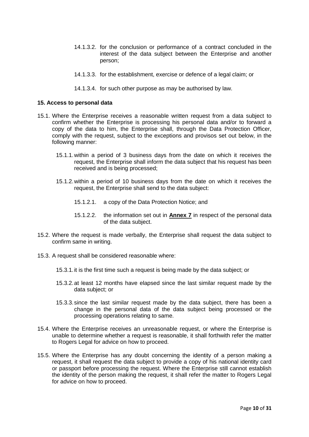- 14.1.3.2. for the conclusion or performance of a contract concluded in the interest of the data subject between the Enterprise and another person;
- 14.1.3.3. for the establishment, exercise or defence of a legal claim; or
- 14.1.3.4. for such other purpose as may be authorised by law.

#### **15. Access to personal data**

- 15.1. Where the Enterprise receives a reasonable written request from a data subject to confirm whether the Enterprise is processing his personal data and/or to forward a copy of the data to him, the Enterprise shall, through the Data Protection Officer, comply with the request, subject to the exceptions and provisos set out below, in the following manner:
	- 15.1.1.within a period of 3 business days from the date on which it receives the request, the Enterprise shall inform the data subject that his request has been received and is being processed;
	- 15.1.2.within a period of 10 business days from the date on which it receives the request, the Enterprise shall send to the data subject:
		- 15.1.2.1. a copy of the Data Protection Notice; and
		- 15.1.2.2. the information set out in **Annex 7** in respect of the personal data of the data subject.
- 15.2. Where the request is made verbally, the Enterprise shall request the data subject to confirm same in writing.
- 15.3. A request shall be considered reasonable where:
	- 15.3.1.it is the first time such a request is being made by the data subject; or
	- 15.3.2.at least 12 months have elapsed since the last similar request made by the data subject; or
	- 15.3.3.since the last similar request made by the data subject, there has been a change in the personal data of the data subject being processed or the processing operations relating to same.
- 15.4. Where the Enterprise receives an unreasonable request, or where the Enterprise is unable to determine whether a request is reasonable, it shall forthwith refer the matter to Rogers Legal for advice on how to proceed.
- 15.5. Where the Enterprise has any doubt concerning the identity of a person making a request, it shall request the data subject to provide a copy of his national identity card or passport before processing the request. Where the Enterprise still cannot establish the identity of the person making the request, it shall refer the matter to Rogers Legal for advice on how to proceed.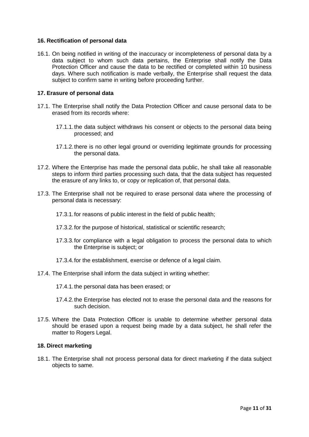#### **16. Rectification of personal data**

16.1. On being notified in writing of the inaccuracy or incompleteness of personal data by a data subject to whom such data pertains, the Enterprise shall notify the Data Protection Officer and cause the data to be rectified or completed within 10 business days. Where such notification is made verbally, the Enterprise shall request the data subject to confirm same in writing before proceeding further.

#### **17. Erasure of personal data**

- 17.1. The Enterprise shall notify the Data Protection Officer and cause personal data to be erased from its records where:
	- 17.1.1.the data subject withdraws his consent or objects to the personal data being processed; and
	- 17.1.2.there is no other legal ground or overriding legitimate grounds for processing the personal data.
- 17.2. Where the Enterprise has made the personal data public, he shall take all reasonable steps to inform third parties processing such data, that the data subject has requested the erasure of any links to, or copy or replication of, that personal data.
- 17.3. The Enterprise shall not be required to erase personal data where the processing of personal data is necessary:
	- 17.3.1.for reasons of public interest in the field of public health;
	- 17.3.2.for the purpose of historical, statistical or scientific research;
	- 17.3.3.for compliance with a legal obligation to process the personal data to which the Enterprise is subject; or
	- 17.3.4.for the establishment, exercise or defence of a legal claim.
- 17.4. The Enterprise shall inform the data subject in writing whether:
	- 17.4.1.the personal data has been erased; or
	- 17.4.2.the Enterprise has elected not to erase the personal data and the reasons for such decision.
- 17.5. Where the Data Protection Officer is unable to determine whether personal data should be erased upon a request being made by a data subject, he shall refer the matter to Rogers Legal.

#### **18. Direct marketing**

18.1. The Enterprise shall not process personal data for direct marketing if the data subject objects to same.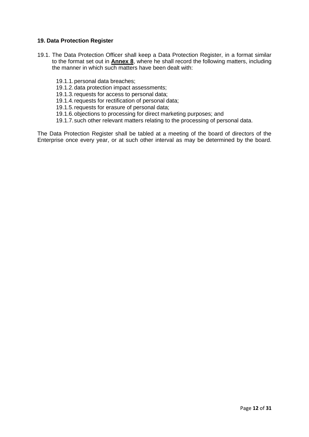#### **19. Data Protection Register**

- 19.1. The Data Protection Officer shall keep a Data Protection Register, in a format similar to the format set out in **Annex 8**, where he shall record the following matters, including the manner in which such matters have been dealt with:
	- 19.1.1.personal data breaches;
	- 19.1.2.data protection impact assessments;
	- 19.1.3.requests for access to personal data;
	- 19.1.4.requests for rectification of personal data;
	- 19.1.5.requests for erasure of personal data;
	- 19.1.6.objections to processing for direct marketing purposes; and
	- 19.1.7.such other relevant matters relating to the processing of personal data.

The Data Protection Register shall be tabled at a meeting of the board of directors of the Enterprise once every year, or at such other interval as may be determined by the board.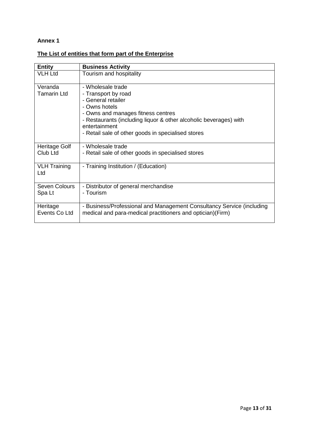# **The List of entities that form part of the Enterprise**

| <b>Entity</b>                 | <b>Business Activity</b>                                                                                                                                                                                                                                          |
|-------------------------------|-------------------------------------------------------------------------------------------------------------------------------------------------------------------------------------------------------------------------------------------------------------------|
| <b>VLH Ltd</b>                | Tourism and hospitality                                                                                                                                                                                                                                           |
| Veranda<br><b>Tamarin Ltd</b> | - Wholesale trade<br>- Transport by road<br>- General retailer<br>- Owns hotels<br>- Owns and manages fitness centres<br>- Restaurants (including liquor & other alcoholic beverages) with<br>entertainment<br>- Retail sale of other goods in specialised stores |
| Heritage Golf<br>Club Ltd     | - Wholesale trade<br>- Retail sale of other goods in specialised stores                                                                                                                                                                                           |
| <b>VLH Training</b><br>Ltd    | - Training Institution / (Education)                                                                                                                                                                                                                              |
| Seven Colours<br>Spa Lt       | - Distributor of general merchandise<br>- Tourism                                                                                                                                                                                                                 |
| Heritage<br>Events Co Ltd     | - Business/Professional and Management Consultancy Service (including<br>medical and para-medical practitioners and optician) (Firm)                                                                                                                              |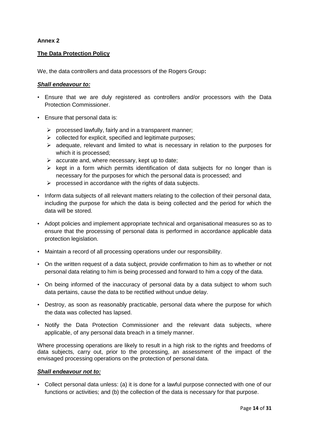#### **The Data Protection Policy**

We, the data controllers and data processors of the Rogers Group**:**

#### *Shall endeavour to:*

- Ensure that we are duly registered as controllers and/or processors with the Data Protection Commissioner.
- Ensure that personal data is:
	- $\triangleright$  processed lawfully, fairly and in a transparent manner;
	- $\triangleright$  collected for explicit, specified and legitimate purposes;
	- $\geq$  adequate, relevant and limited to what is necessary in relation to the purposes for which it is processed;
	- $\triangleright$  accurate and, where necessary, kept up to date;
	- $\triangleright$  kept in a form which permits identification of data subjects for no longer than is necessary for the purposes for which the personal data is processed; and
	- $\triangleright$  processed in accordance with the rights of data subjects.
- Inform data subjects of all relevant matters relating to the collection of their personal data, including the purpose for which the data is being collected and the period for which the data will be stored.
- Adopt policies and implement appropriate technical and organisational measures so as to ensure that the processing of personal data is performed in accordance applicable data protection legislation.
- Maintain a record of all processing operations under our responsibility.
- On the written request of a data subject, provide confirmation to him as to whether or not personal data relating to him is being processed and forward to him a copy of the data.
- On being informed of the inaccuracy of personal data by a data subject to whom such data pertains, cause the data to be rectified without undue delay.
- Destroy, as soon as reasonably practicable, personal data where the purpose for which the data was collected has lapsed.
- Notify the Data Protection Commissioner and the relevant data subjects, where applicable, of any personal data breach in a timely manner.

Where processing operations are likely to result in a high risk to the rights and freedoms of data subjects, carry out, prior to the processing, an assessment of the impact of the envisaged processing operations on the protection of personal data.

#### *Shall endeavour not to:*

• Collect personal data unless: (a) it is done for a lawful purpose connected with one of our functions or activities; and (b) the collection of the data is necessary for that purpose.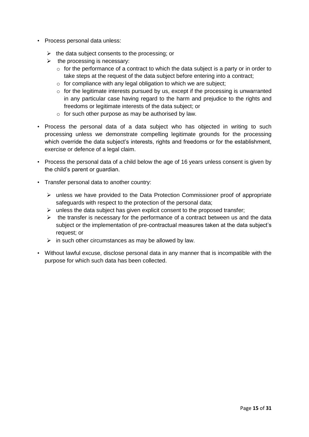- Process personal data unless:
	- $\triangleright$  the data subject consents to the processing; or
	- $\triangleright$  the processing is necessary:
		- $\circ$  for the performance of a contract to which the data subject is a party or in order to take steps at the request of the data subject before entering into a contract;
		- $\circ$  for compliance with any legal obligation to which we are subject;
		- $\circ$  for the legitimate interests pursued by us, except if the processing is unwarranted in any particular case having regard to the harm and prejudice to the rights and freedoms or legitimate interests of the data subject; or
		- o for such other purpose as may be authorised by law.
- Process the personal data of a data subject who has objected in writing to such processing unless we demonstrate compelling legitimate grounds for the processing which override the data subject's interests, rights and freedoms or for the establishment, exercise or defence of a legal claim.
- Process the personal data of a child below the age of 16 years unless consent is given by the child's parent or guardian.
- Transfer personal data to another country:
	- $\triangleright$  unless we have provided to the Data Protection Commissioner proof of appropriate safeguards with respect to the protection of the personal data;
	- $\triangleright$  unless the data subject has given explicit consent to the proposed transfer;
	- $\triangleright$  the transfer is necessary for the performance of a contract between us and the data subject or the implementation of pre-contractual measures taken at the data subject's request; or
	- $\triangleright$  in such other circumstances as may be allowed by law.
- Without lawful excuse, disclose personal data in any manner that is incompatible with the purpose for which such data has been collected.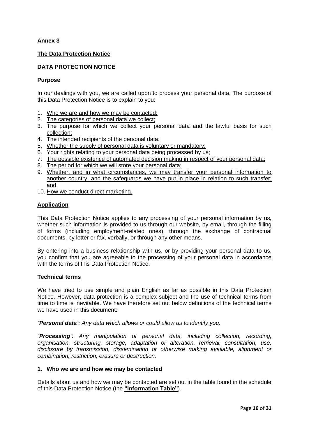#### **The Data Protection Notice**

#### **DATA PROTECTION NOTICE**

#### **Purpose**

In our dealings with you, we are called upon to process your personal data. The purpose of this Data Protection Notice is to explain to you:

- 1. Who we are and how we may be contacted;
- 2. The categories of personal data we collect;
- 3. The purpose for which we collect your personal data and the lawful basis for such collection;
- 4. The intended recipients of the personal data;
- 5. Whether the supply of personal data is voluntary or mandatory;
- 6. Your rights relating to your personal data being processed by us;
- 7. The possible existence of automated decision making in respect of your personal data;
- 8. The period for which we will store your personal data;
- 9. Whether, and in what circumstances, we may transfer your personal information to another country, and the safeguards we have put in place in relation to such transfer; and
- 10. How we conduct direct marketing.

#### **Application**

This Data Protection Notice applies to any processing of your personal information by us, whether such information is provided to us through our website, by email, through the filling of forms (including employment-related ones), through the exchange of contractual documents, by letter or fax, verbally, or through any other means.

By entering into a business relationship with us, or by providing your personal data to us, you confirm that you are agreeable to the processing of your personal data in accordance with the terms of this Data Protection Notice.

#### **Technical terms**

We have tried to use simple and plain English as far as possible in this Data Protection Notice. However, data protection is a complex subject and the use of technical terms from time to time is inevitable. We have therefore set out below definitions of the technical terms we have used in this document:

*"Personal data": Any data which allows or could allow us to identify you.*

*"Processing": Any manipulation of personal data, including collection, recording, organisation, structuring, storage, adaptation or alteration, retrieval, consultation, use, disclosure by transmission, dissemination or otherwise making available, alignment or combination, restriction, erasure or destruction.*

#### **1. Who we are and how we may be contacted**

Details about us and how we may be contacted are set out in the table found in the schedule of this Data Protection Notice (the **"Information Table"**).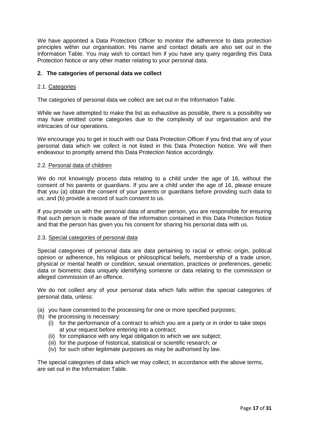We have appointed a Data Protection Officer to monitor the adherence to data protection principles within our organisation. His name and contact details are also set out in the Information Table. You may wish to contact him if you have any query regarding this Data Protection Notice or any other matter relating to your personal data.

#### **2. The categories of personal data we collect**

#### 2.1. Categories

The categories of personal data we collect are set out in the Information Table.

While we have attempted to make the list as exhaustive as possible, there is a possibility we may have omitted come categories due to the complexity of our organisation and the intricacies of our operations.

We encourage you to get in touch with our Data Protection Officer if you find that any of your personal data which we collect is not listed in this Data Protection Notice. We will then endeavour to promptly amend this Data Protection Notice accordingly.

#### 2.2. Personal data of children

We do not knowingly process data relating to a child under the age of 16, without the consent of his parents or guardians. If you are a child under the age of 16, please ensure that you (a) obtain the consent of your parents or guardians before providing such data to us; and (b) provide a record of such consent to us.

If you provide us with the personal data of another person, you are responsible for ensuring that such person is made aware of the information contained in this Data Protection Notice and that the person has given you his consent for sharing his personal data with us.

#### 2.3. Special categories of personal data

Special categories of personal data are data pertaining to racial or ethnic origin, political opinion or adherence, his religious or philosophical beliefs, membership of a trade union, physical or mental health or condition, sexual orientation, practices or preferences, genetic data or biometric data uniquely identifying someone or data relating to the commission or alleged commission of an offence.

We do not collect any of your personal data which falls within the special categories of personal data, unless:

- (a) you have consented to the processing for one or more specified purposes;
- (b) the processing is necessary:
	- (i) for the performance of a contract to which you are a party or in order to take steps at your request before entering into a contract;
	- (ii) for compliance with any legal obligation to which we are subject;
	- (iii) for the purpose of historical, statistical or scientific research; or
	- (iv) for such other legitimate purposes as may be authorised by law.

The special categories of data which we may collect, in accordance with the above terms, are set out in the Information Table.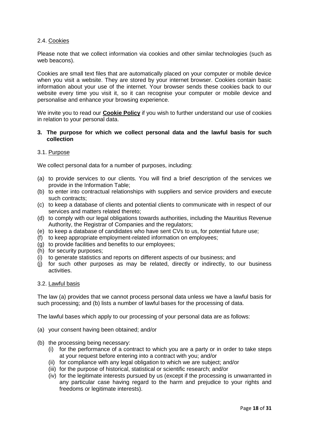#### 2.4. Cookies

Please note that we collect information via cookies and other similar technologies (such as web beacons).

Cookies are small text files that are automatically placed on your computer or mobile device when you visit a website. They are stored by your internet browser. Cookies contain basic information about your use of the internet. Your browser sends these cookies back to our website every time you visit it, so it can recognise your computer or mobile device and personalise and enhance your browsing experience.

We invite you to read our **Cookie Policy** if you wish to further understand our use of cookies in relation to your personal data.

#### **3. The purpose for which we collect personal data and the lawful basis for such collection**

#### 3.1. Purpose

We collect personal data for a number of purposes, including:

- (a) to provide services to our clients. You will find a brief description of the services we provide in the Information Table;
- (b) to enter into contractual relationships with suppliers and service providers and execute such contracts;
- (c) to keep a database of clients and potential clients to communicate with in respect of our services and matters related thereto;
- (d) to comply with our legal obligations towards authorities, including the Mauritius Revenue Authority, the Registrar of Companies and the regulators;
- (e) to keep a database of candidates who have sent CVs to us, for potential future use;
- (f) to keep appropriate employment-related information on employees;
- (g) to provide facilities and benefits to our employees;
- (h) for security purposes;
- (i) to generate statistics and reports on different aspects of our business; and
- (j) for such other purposes as may be related, directly or indirectly, to our business activities.

#### 3.2. Lawful basis

The law (a) provides that we cannot process personal data unless we have a lawful basis for such processing; and (b) lists a number of lawful bases for the processing of data.

The lawful bases which apply to our processing of your personal data are as follows:

- (a) your consent having been obtained; and/or
- (b) the processing being necessary:
	- (i) for the performance of a contract to which you are a party or in order to take steps at your request before entering into a contract with you; and/or
	- (ii) for compliance with any legal obligation to which we are subject; and/or
	- (iii) for the purpose of historical, statistical or scientific research; and/or
	- (iv) for the legitimate interests pursued by us (except if the processing is unwarranted in any particular case having regard to the harm and prejudice to your rights and freedoms or legitimate interests).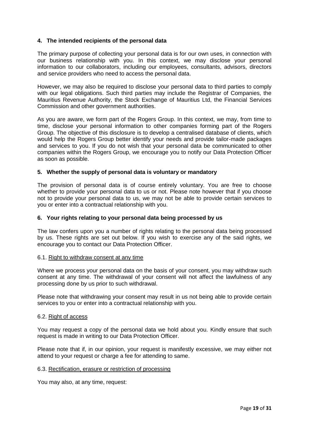#### **4. The intended recipients of the personal data**

The primary purpose of collecting your personal data is for our own uses, in connection with our business relationship with you. In this context, we may disclose your personal information to our collaborators, including our employees, consultants, advisors, directors and service providers who need to access the personal data.

However, we may also be required to disclose your personal data to third parties to comply with our legal obligations. Such third parties may include the Registrar of Companies, the Mauritius Revenue Authority, the Stock Exchange of Mauritius Ltd, the Financial Services Commission and other government authorities.

As you are aware, we form part of the Rogers Group. In this context, we may, from time to time, disclose your personal information to other companies forming part of the Rogers Group. The objective of this disclosure is to develop a centralised database of clients, which would help the Rogers Group better identify your needs and provide tailor-made packages and services to you. If you do not wish that your personal data be communicated to other companies within the Rogers Group, we encourage you to notify our Data Protection Officer as soon as possible.

#### **5. Whether the supply of personal data is voluntary or mandatory**

The provision of personal data is of course entirely voluntary. You are free to choose whether to provide your personal data to us or not. Please note however that if you choose not to provide your personal data to us, we may not be able to provide certain services to you or enter into a contractual relationship with you.

#### **6. Your rights relating to your personal data being processed by us**

The law confers upon you a number of rights relating to the personal data being processed by us. These rights are set out below. If you wish to exercise any of the said rights, we encourage you to contact our Data Protection Officer.

#### 6.1. Right to withdraw consent at any time

Where we process your personal data on the basis of your consent, you may withdraw such consent at any time. The withdrawal of your consent will not affect the lawfulness of any processing done by us prior to such withdrawal.

Please note that withdrawing your consent may result in us not being able to provide certain services to you or enter into a contractual relationship with you.

#### 6.2. Right of access

You may request a copy of the personal data we hold about you. Kindly ensure that such request is made in writing to our Data Protection Officer.

Please note that if, in our opinion, your request is manifestly excessive, we may either not attend to your request or charge a fee for attending to same.

#### 6.3. Rectification, erasure or restriction of processing

You may also, at any time, request: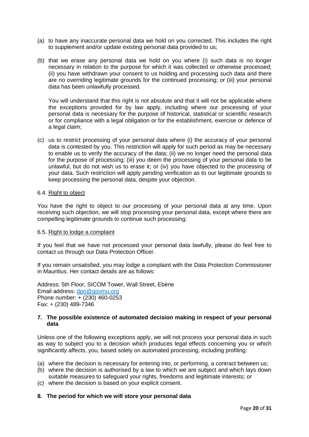- (a) to have any inaccurate personal data we hold on you corrected. This includes the right to supplement and/or update existing personal data provided to us;
- (b) that we erase any personal data we hold on you where (i) such data is no longer necessary in relation to the purpose for which it was collected or otherwise processed; (ii) you have withdrawn your consent to us holding and processing such data and there are no overriding legitimate grounds for the continued processing; or (iii) your personal data has been unlawfully processed.

You will understand that this right is not absolute and that it will not be applicable where the exceptions provided for by law apply, including where our processing of your personal data is necessary for the purpose of historical, statistical or scientific research or for compliance with a legal obligation or for the establishment, exercise or defence of a legal claim;

(c) us to restrict processing of your personal data where (i) the accuracy of your personal data is contested by you. This restriction will apply for such period as may be necessary to enable us to verify the accuracy of the data; (ii) we no longer need the personal data for the purpose of processing; (iii) you deem the processing of your personal data to be unlawful, but do not wish us to erase it; or (iv) you have objected to the processing of your data. Such restriction will apply pending verification as to our legitimate grounds to keep processing the personal data, despite your objection.

#### 6.4. Right to object

You have the right to object to our processing of your personal data at any time. Upon receiving such objection, we will stop processing your personal data, except where there are compelling legitimate grounds to continue such processing;

#### 6.5. Right to lodge a complaint

If you feel that we have not processed your personal data lawfully, please do feel free to contact us through our Data Protection Officer.

If you remain unsatisfied, you may lodge a complaint with the Data Protection Commissioner in Mauritius. Her contact details are as follows:

Address: 5th Floor, SICOM Tower, Wall Street, Ebène Email address: [dpo@govmu.org](mailto:dpo@govmu.org) Phone number: + (230) 460-0253 Fax: + (230) 489-7346

#### **7. The possible existence of automated decision making in respect of your personal data**

Unless one of the following exceptions apply, we will not process your personal data in such as way to subject you to a decision which produces legal effects concerning you or which significantly affects, you, based solely on automated processing, including profiling:

- (a) where the decision is necessary for entering into, or performing, a contract between us;
- (b) where the decision is authorised by a law to which we are subject and which lays down suitable measures to safeguard your rights, freedoms and legitimate interests; or
- (c) where the decision is based on your explicit consent.

#### **8. The period for which we will store your personal data**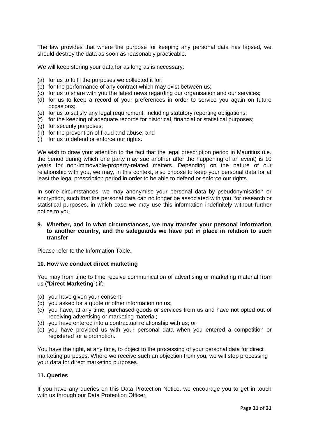The law provides that where the purpose for keeping any personal data has lapsed, we should destroy the data as soon as reasonably practicable.

We will keep storing your data for as long as is necessary:

- (a) for us to fulfil the purposes we collected it for;
- (b) for the performance of any contract which may exist between us;
- (c) for us to share with you the latest news regarding our organisation and our services;
- (d) for us to keep a record of your preferences in order to service you again on future occasions;
- (e) for us to satisfy any legal requirement, including statutory reporting obligations;
- (f) for the keeping of adequate records for historical, financial or statistical purposes;
- (g) for security purposes;
- (h) for the prevention of fraud and abuse; and
- (i) for us to defend or enforce our rights.

We wish to draw your attention to the fact that the legal prescription period in Mauritius (i.e. the period during which one party may sue another after the happening of an event) is 10 years for non-immovable-property-related matters. Depending on the nature of our relationship with you, we may, in this context, also choose to keep your personal data for at least the legal prescription period in order to be able to defend or enforce our rights.

In some circumstances, we may anonymise your personal data by pseudonymisation or encryption, such that the personal data can no longer be associated with you, for research or statistical purposes, in which case we may use this information indefinitely without further notice to you.

#### **9. Whether, and in what circumstances, we may transfer your personal information to another country, and the safeguards we have put in place in relation to such transfer**

Please refer to the Information Table.

#### **10. How we conduct direct marketing**

You may from time to time receive communication of advertising or marketing material from us ("**Direct Marketing**") if:

- (a) you have given your consent;
- (b) you asked for a quote or other information on us;
- (c) you have, at any time, purchased goods or services from us and have not opted out of receiving advertising or marketing material;
- (d) you have entered into a contractual relationship with us; or
- (e) you have provided us with your personal data when you entered a competition or registered for a promotion.

You have the right, at any time, to object to the processing of your personal data for direct marketing purposes. Where we receive such an objection from you, we will stop processing your data for direct marketing purposes.

#### **11. Queries**

If you have any queries on this Data Protection Notice, we encourage you to get in touch with us through our Data Protection Officer.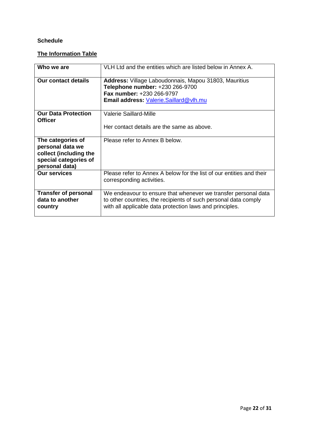### **Schedule**

# **The Information Table**

| Who we are                                                                                                 | VLH Ltd and the entities which are listed below in Annex A.                                                                                                                                   |
|------------------------------------------------------------------------------------------------------------|-----------------------------------------------------------------------------------------------------------------------------------------------------------------------------------------------|
| <b>Our contact details</b>                                                                                 | Address: Village Laboudonnais, Mapou 31803, Mauritius<br>Telephone number: +230 266-9700<br><b>Fax number: +230 266-9797</b><br>Email address: Valerie.Saillard@vlh.mu                        |
| <b>Our Data Protection</b><br><b>Officer</b>                                                               | Valerie Saillard-Mille<br>Her contact details are the same as above.                                                                                                                          |
|                                                                                                            |                                                                                                                                                                                               |
| The categories of<br>personal data we<br>collect (including the<br>special categories of<br>personal data) | Please refer to Annex B below.                                                                                                                                                                |
| <b>Our services</b>                                                                                        | Please refer to Annex A below for the list of our entities and their<br>corresponding activities.                                                                                             |
| <b>Transfer of personal</b><br>data to another<br>country                                                  | We endeavour to ensure that whenever we transfer personal data<br>to other countries, the recipients of such personal data comply<br>with all applicable data protection laws and principles. |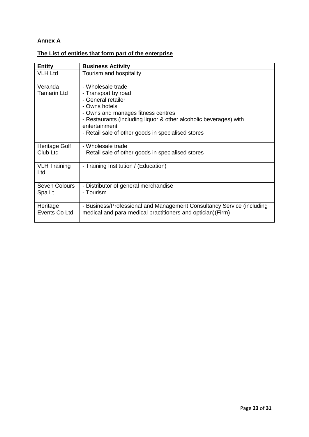### **Annex A**

# **The List of entities that form part of the enterprise**

| <b>Entity</b>                 | <b>Business Activity</b>                                                                                                                                                                                                                                          |
|-------------------------------|-------------------------------------------------------------------------------------------------------------------------------------------------------------------------------------------------------------------------------------------------------------------|
| <b>VLH Ltd</b>                | Tourism and hospitality                                                                                                                                                                                                                                           |
| Veranda<br><b>Tamarin Ltd</b> | - Wholesale trade<br>- Transport by road<br>- General retailer<br>- Owns hotels<br>- Owns and manages fitness centres<br>- Restaurants (including liquor & other alcoholic beverages) with<br>entertainment<br>- Retail sale of other goods in specialised stores |
| Heritage Golf<br>Club Ltd     | - Wholesale trade<br>- Retail sale of other goods in specialised stores                                                                                                                                                                                           |
| <b>VLH Training</b><br>Ltd    | - Training Institution / (Education)                                                                                                                                                                                                                              |
| Seven Colours<br>Spa Lt       | - Distributor of general merchandise<br>- Tourism                                                                                                                                                                                                                 |
| Heritage<br>Events Co Ltd     | - Business/Professional and Management Consultancy Service (including<br>medical and para-medical practitioners and optician)(Firm)                                                                                                                               |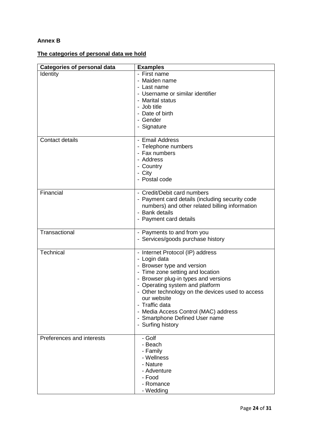## **Annex B**

# **The categories of personal data we hold**

| <b>Categories of personal data</b> | <b>Examples</b>                                                                                                                                                                                                                                                                                                                                                                   |
|------------------------------------|-----------------------------------------------------------------------------------------------------------------------------------------------------------------------------------------------------------------------------------------------------------------------------------------------------------------------------------------------------------------------------------|
| Identity                           | - First name<br>- Maiden name<br>- Last name<br>- Username or similar identifier<br>- Marital status<br>- Job title<br>- Date of birth<br>- Gender<br>- Signature                                                                                                                                                                                                                 |
| <b>Contact details</b>             | - Email Address<br>- Telephone numbers<br>- Fax numbers<br>- Address<br>- Country<br>- City<br>- Postal code                                                                                                                                                                                                                                                                      |
| Financial                          | - Credit/Debit card numbers<br>- Payment card details (including security code<br>numbers) and other related billing information<br>- Bank details<br>- Payment card details                                                                                                                                                                                                      |
| Transactional                      | - Payments to and from you<br>- Services/goods purchase history                                                                                                                                                                                                                                                                                                                   |
| Technical                          | - Internet Protocol (IP) address<br>- Login data<br>- Browser type and version<br>- Time zone setting and location<br>- Browser plug-in types and versions<br>- Operating system and platform<br>- Other technology on the devices used to access<br>our website<br>- Traffic data<br>- Media Access Control (MAC) address<br>- Smartphone Defined User name<br>- Surfing history |
| Preferences and interests          | - Golf<br>- Beach<br>- Family<br>- Wellness<br>- Nature<br>- Adventure<br>- Food<br>- Romance<br>- Wedding                                                                                                                                                                                                                                                                        |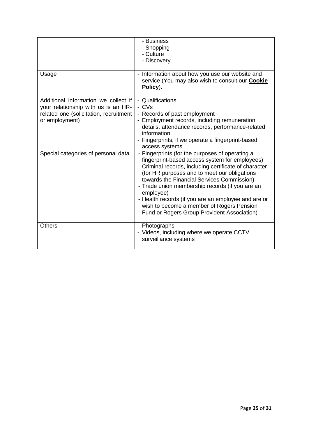|                                                                                                                                         | - Business<br>- Shopping<br>- Culture<br>- Discovery                                                                                                                                                                                                                                                                                                                                                                                                                         |
|-----------------------------------------------------------------------------------------------------------------------------------------|------------------------------------------------------------------------------------------------------------------------------------------------------------------------------------------------------------------------------------------------------------------------------------------------------------------------------------------------------------------------------------------------------------------------------------------------------------------------------|
| Usage                                                                                                                                   | Information about how you use our website and<br>service (You may also wish to consult our Cookie<br>Policy).                                                                                                                                                                                                                                                                                                                                                                |
| Additional information we collect if<br>your relationship with us is an HR-<br>related one (solicitation, recruitment<br>or employment) | - Qualifications<br>- CVs<br>- Records of past employment<br>- Employment records, including remuneration<br>details, attendance records, performance-related<br>information<br>- Fingerprints, if we operate a fingerprint-based<br>access systems                                                                                                                                                                                                                          |
| Special categories of personal data                                                                                                     | - Fingerprints (for the purposes of operating a<br>fingerprint-based access system for employees)<br>- Criminal records, including certificate of character<br>(for HR purposes and to meet our obligations<br>towards the Financial Services Commission)<br>- Trade union membership records (if you are an<br>employee)<br>- Health records (if you are an employee and are or<br>wish to become a member of Rogers Pension<br>Fund or Rogers Group Provident Association) |
| Others                                                                                                                                  | - Photographs<br>- Videos, including where we operate CCTV<br>surveillance systems                                                                                                                                                                                                                                                                                                                                                                                           |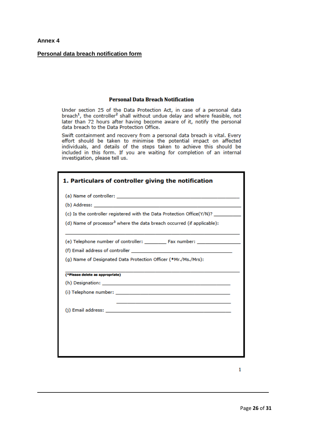#### **Personal data breach notification form**

#### **Personal Data Breach Notification**

Under section 25 of the Data Protection Act, in case of a personal data breach<sup>1</sup>, the controller<sup>2</sup> shall without undue delay and where feasible, not later than 72 hours after having become aware of it, notify the personal data breach to the Data Protection Office.

Swift containment and recovery from a personal data breach is vital. Every effort should be taken to minimise the potential impact on affected individuals, and details of the steps taken to achieve this should be included in this form. If you are waiting for completion of an internal investigation, please tell us.

| 1. Particulars of controller giving the notification                               |  |
|------------------------------------------------------------------------------------|--|
|                                                                                    |  |
|                                                                                    |  |
| (c) Is the controller registered with the Data Protection Office(Y/N)? _________   |  |
| (d) Name of processor <sup>3</sup> where the data breach occurred (if applicable): |  |
|                                                                                    |  |
|                                                                                    |  |
| (g) Name of Designated Data Protection Officer (*Mr./Ms./Mrs):                     |  |
| (*Please delete as appropriate)                                                    |  |
|                                                                                    |  |
|                                                                                    |  |
|                                                                                    |  |
|                                                                                    |  |
|                                                                                    |  |
|                                                                                    |  |
|                                                                                    |  |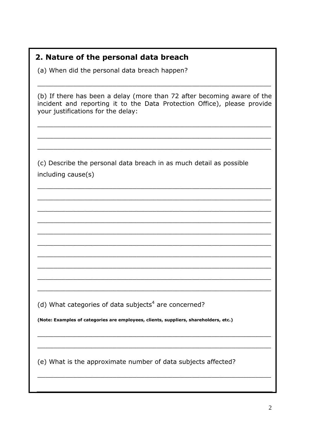# 2. Nature of the personal data breach

(a) When did the personal data breach happen?

(b) If there has been a delay (more than 72 after becoming aware of the incident and reporting it to the Data Protection Office), please provide vour justifications for the delay:

(c) Describe the personal data breach in as much detail as possible including cause(s)

(d) What categories of data subjects<sup>4</sup> are concerned?

(Note: Examples of categories are employees, clients, suppliers, shareholders, etc.)

(e) What is the approximate number of data subjects affected?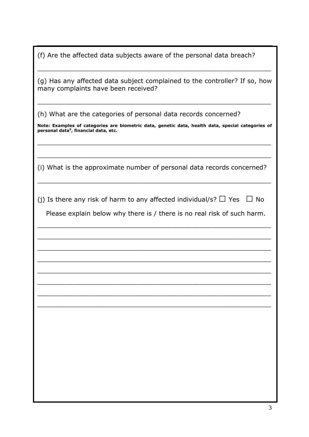(f) Are the affected data subjects aware of the personal data breach?

\_\_\_\_\_\_\_\_\_\_\_\_\_\_\_\_\_\_\_\_\_\_\_\_\_\_\_\_\_\_\_\_\_\_\_\_\_\_\_\_\_\_\_\_\_\_\_\_\_\_\_\_\_\_\_\_\_\_\_

| (g) Has any affected data subject complained to the controller? If so, how<br>many complaints have been received?                                      |
|--------------------------------------------------------------------------------------------------------------------------------------------------------|
| (h) What are the categories of personal data records concerned?                                                                                        |
| Note: Examples of categories are biometric data, genetic data, health data, special categories of<br>personal data <sup>5</sup> , financial data, etc. |
|                                                                                                                                                        |
| (i) What is the approximate number of personal data records concerned?                                                                                 |
| (j) Is there any risk of harm to any affected individual/s? $\Box$ Yes<br>$\Box$ No                                                                    |
| Please explain below why there is / there is no real risk of such harm.                                                                                |
|                                                                                                                                                        |
|                                                                                                                                                        |
|                                                                                                                                                        |
|                                                                                                                                                        |
|                                                                                                                                                        |
|                                                                                                                                                        |
|                                                                                                                                                        |
|                                                                                                                                                        |
|                                                                                                                                                        |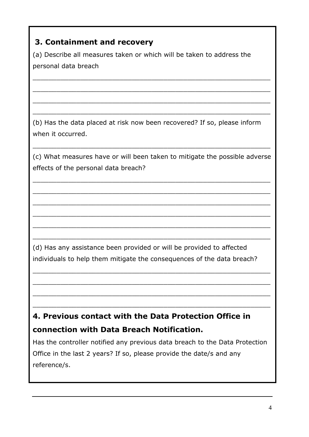# **3. Containment and recovery**

(a) Describe all measures taken or which will be taken to address the personal data breach

 $\_$  ,  $\_$  ,  $\_$  ,  $\_$  ,  $\_$  ,  $\_$  ,  $\_$  ,  $\_$  ,  $\_$  ,  $\_$  ,  $\_$  ,  $\_$  ,  $\_$  ,  $\_$  ,  $\_$  ,  $\_$  ,  $\_$  ,  $\_$  ,  $\_$  ,  $\_$  ,  $\_$  ,  $\_$  ,  $\_$  ,  $\_$  ,  $\_$  ,  $\_$  ,  $\_$  ,  $\_$  ,  $\_$  ,  $\_$  ,  $\_$  ,  $\_$  ,  $\_$  ,  $\_$  ,  $\_$  ,  $\_$  ,  $\_$  ,

\_\_\_\_\_\_\_\_\_\_\_\_\_\_\_\_\_\_\_\_\_\_\_\_\_\_\_\_\_\_\_\_\_\_\_\_\_\_\_\_\_\_\_\_\_\_\_\_\_\_\_\_\_\_\_\_\_\_\_\_

 $\_$  ,  $\_$  ,  $\_$  ,  $\_$  ,  $\_$  ,  $\_$  ,  $\_$  ,  $\_$  ,  $\_$  ,  $\_$  ,  $\_$  ,  $\_$  ,  $\_$  ,  $\_$  ,  $\_$  ,  $\_$  ,  $\_$  ,  $\_$  ,  $\_$  ,  $\_$  ,  $\_$  ,  $\_$  ,  $\_$  ,  $\_$  ,  $\_$  ,  $\_$  ,  $\_$  ,  $\_$  ,  $\_$  ,  $\_$  ,  $\_$  ,  $\_$  ,  $\_$  ,  $\_$  ,  $\_$  ,  $\_$  ,  $\_$  ,

\_\_\_\_\_\_\_\_\_\_\_\_\_\_\_\_\_\_\_\_\_\_\_\_\_\_\_\_\_\_\_\_\_\_\_\_\_\_\_\_\_\_\_\_\_\_\_\_\_\_\_\_\_\_\_\_\_\_\_\_

(b) Has the data placed at risk now been recovered? If so, please inform when it occurred.

(c) What measures have or will been taken to mitigate the possible adverse effects of the personal data breach?

 $\_$  ,  $\_$  ,  $\_$  ,  $\_$  ,  $\_$  ,  $\_$  ,  $\_$  ,  $\_$  ,  $\_$  ,  $\_$  ,  $\_$  ,  $\_$  ,  $\_$  ,  $\_$  ,  $\_$  ,  $\_$  ,  $\_$  ,  $\_$  ,  $\_$  ,  $\_$  ,  $\_$  ,  $\_$  ,  $\_$  ,  $\_$  ,  $\_$  ,  $\_$  ,  $\_$  ,  $\_$  ,  $\_$  ,  $\_$  ,  $\_$  ,  $\_$  ,  $\_$  ,  $\_$  ,  $\_$  ,  $\_$  ,  $\_$  ,

\_\_\_\_\_\_\_\_\_\_\_\_\_\_\_\_\_\_\_\_\_\_\_\_\_\_\_\_\_\_\_\_\_\_\_\_\_\_\_\_\_\_\_\_\_\_\_\_\_\_\_\_\_\_\_\_\_\_\_\_

 $\_$  ,  $\_$  ,  $\_$  ,  $\_$  ,  $\_$  ,  $\_$  ,  $\_$  ,  $\_$  ,  $\_$  ,  $\_$  ,  $\_$  ,  $\_$  ,  $\_$  ,  $\_$  ,  $\_$  ,  $\_$  ,  $\_$  ,  $\_$  ,  $\_$  ,  $\_$  ,  $\_$  ,  $\_$  ,  $\_$  ,  $\_$  ,  $\_$  ,  $\_$  ,  $\_$  ,  $\_$  ,  $\_$  ,  $\_$  ,  $\_$  ,  $\_$  ,  $\_$  ,  $\_$  ,  $\_$  ,  $\_$  ,  $\_$  ,

\_\_\_\_\_\_\_\_\_\_\_\_\_\_\_\_\_\_\_\_\_\_\_\_\_\_\_\_\_\_\_\_\_\_\_\_\_\_\_\_\_\_\_\_\_\_\_\_\_\_\_\_\_\_\_\_\_\_\_\_

\_\_\_\_\_\_\_\_\_\_\_\_\_\_\_\_\_\_\_\_\_\_\_\_\_\_\_\_\_\_\_\_\_\_\_\_\_\_\_\_\_\_\_\_\_\_\_\_\_\_\_\_\_\_\_\_\_\_\_\_

\_\_\_\_\_\_\_\_\_\_\_\_\_\_\_\_\_\_\_\_\_\_\_\_\_\_\_\_\_\_\_\_\_\_\_\_\_\_\_\_\_\_\_\_\_\_\_\_\_\_\_\_\_\_\_\_\_\_\_\_

 $\_$  ,  $\_$  ,  $\_$  ,  $\_$  ,  $\_$  ,  $\_$  ,  $\_$  ,  $\_$  ,  $\_$  ,  $\_$  ,  $\_$  ,  $\_$  ,  $\_$  ,  $\_$  ,  $\_$  ,  $\_$  ,  $\_$  ,  $\_$  ,  $\_$  ,  $\_$  ,  $\_$  ,  $\_$  ,  $\_$  ,  $\_$  ,  $\_$  ,  $\_$  ,  $\_$  ,  $\_$  ,  $\_$  ,  $\_$  ,  $\_$  ,  $\_$  ,  $\_$  ,  $\_$  ,  $\_$  ,  $\_$  ,  $\_$  ,

\_\_\_\_\_\_\_\_\_\_\_\_\_\_\_\_\_\_\_\_\_\_\_\_\_\_\_\_\_\_\_\_\_\_\_\_\_\_\_\_\_\_\_\_\_\_\_\_\_\_\_\_\_\_\_\_\_\_\_\_

 $\_$  ,  $\_$  ,  $\_$  ,  $\_$  ,  $\_$  ,  $\_$  ,  $\_$  ,  $\_$  ,  $\_$  ,  $\_$  ,  $\_$  ,  $\_$  ,  $\_$  ,  $\_$  ,  $\_$  ,  $\_$  ,  $\_$  ,  $\_$  ,  $\_$  ,  $\_$  ,  $\_$  ,  $\_$  ,  $\_$  ,  $\_$  ,  $\_$  ,  $\_$  ,  $\_$  ,  $\_$  ,  $\_$  ,  $\_$  ,  $\_$  ,  $\_$  ,  $\_$  ,  $\_$  ,  $\_$  ,  $\_$  ,  $\_$  ,

 $\_$  ,  $\_$  ,  $\_$  ,  $\_$  ,  $\_$  ,  $\_$  ,  $\_$  ,  $\_$  ,  $\_$  ,  $\_$  ,  $\_$  ,  $\_$  ,  $\_$  ,  $\_$  ,  $\_$  ,  $\_$  ,  $\_$  ,  $\_$  ,  $\_$  ,  $\_$  ,  $\_$  ,  $\_$  ,  $\_$  ,  $\_$  ,  $\_$  ,  $\_$  ,  $\_$  ,  $\_$  ,  $\_$  ,  $\_$  ,  $\_$  ,  $\_$  ,  $\_$  ,  $\_$  ,  $\_$  ,  $\_$  ,  $\_$  ,

\_\_\_\_\_\_\_\_\_\_\_\_\_\_\_\_\_\_\_\_\_\_\_\_\_\_\_\_\_\_\_\_\_\_\_\_\_\_\_\_\_\_\_\_\_\_\_\_\_\_\_\_\_\_\_\_\_\_\_\_

(d) Has any assistance been provided or will be provided to affected individuals to help them mitigate the consequences of the data breach?

# **4. Previous contact with the Data Protection Office in connection with Data Breach Notification.**

Has the controller notified any previous data breach to the Data Protection Office in the last 2 years? If so, please provide the date/s and any reference/s.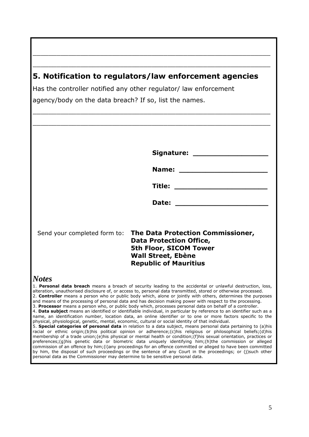# **5. Notification to regulators/law enforcement agencies**

\_\_\_\_\_\_\_\_\_\_\_\_\_\_\_\_\_\_\_\_\_\_\_\_\_\_\_\_\_\_\_\_\_\_\_\_\_\_\_\_\_\_\_\_\_\_\_\_\_\_\_\_\_\_\_\_\_\_\_\_

\_\_\_\_\_\_\_\_\_\_\_\_\_\_\_\_\_\_\_\_\_\_\_\_\_\_\_\_\_\_\_\_\_\_\_\_\_\_\_\_\_\_\_\_\_\_\_\_\_\_\_\_\_\_\_\_\_\_\_\_

Has the controller notified any other regulator/ law enforcement agency/body on the data breach? If so, list the names.

|                                                                                | Title: ____________                                                                                                                                                                                                                 |
|--------------------------------------------------------------------------------|-------------------------------------------------------------------------------------------------------------------------------------------------------------------------------------------------------------------------------------|
|                                                                                |                                                                                                                                                                                                                                     |
|                                                                                | <b>Date:</b> the contract of the contract of the contract of the contract of the contract of the contract of the contract of the contract of the contract of the contract of the contract of the contract of the contract of the co |
|                                                                                |                                                                                                                                                                                                                                     |
|                                                                                |                                                                                                                                                                                                                                     |
| Send your completed form to:                                                   | The Data Protection Commissioner,<br><b>Data Protection Office,</b>                                                                                                                                                                 |
|                                                                                | 5th Floor, SICOM Tower                                                                                                                                                                                                              |
|                                                                                | <b>Wall Street, Ebène</b>                                                                                                                                                                                                           |
|                                                                                | <b>Republic of Mauritius</b>                                                                                                                                                                                                        |
| <b>Notes</b>                                                                   |                                                                                                                                                                                                                                     |
|                                                                                | 1. Personal data breach means a breach of security leading to the accidental or unlawful destruction, loss,<br>alteration, unauthorised disclosure of, or access to, personal data transmitted, stored or otherwise processed.      |
|                                                                                | 2. Controller means a person who or public body which, alone or jointly with others, determines the purposes<br>and means of the processing of personal data and has decision making power with respect to the processing.          |
|                                                                                | 3. Processor means a person who, or public body which, processes personal data on behalf of a controller.<br>4. Data subject means an identified or identifiable individual, in particular by reference to an identifier such as a  |
|                                                                                | name, an identification number, location data, an online identifier or to one or more factors specific to the<br>physical, physiological, genetic, mental, economic, cultural or social identity of that individual.                |
|                                                                                | 5. Special categories of personal data in relation to a data subject, means personal data pertaining to (a)his<br>racial or ethnic origin; (b)his political opinion or adherence; (c)his religious or philosophical beliefs; (d)his |
|                                                                                | membership of a trade union; (e)his physical or mental health or condition; (f)his sexual orientation, practices or<br>preferences; (g) his genetic data or biometric data uniquely identifying him; (h) the commission or alleged  |
|                                                                                | commission of an offence by him; (i) any proceedings for an offence committed or alleged to have been committed<br>by him, the disposal of such proceedings or the sentence of any Court in the proceedings; or (j)such other       |
| personal data as the Commissioner may determine to be sensitive personal data. |                                                                                                                                                                                                                                     |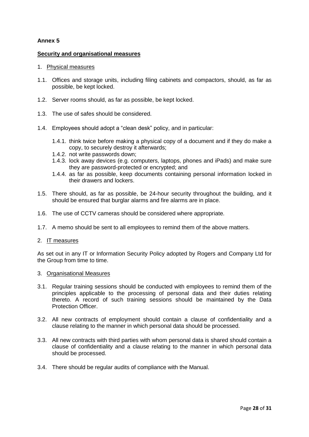#### **Security and organisational measures**

#### 1. Physical measures

- 1.1. Offices and storage units, including filing cabinets and compactors, should, as far as possible, be kept locked.
- 1.2. Server rooms should, as far as possible, be kept locked.
- 1.3. The use of safes should be considered.
- 1.4. Employees should adopt a "clean desk" policy, and in particular:
	- 1.4.1. think twice before making a physical copy of a document and if they do make a copy, to securely destroy it afterwards;
	- 1.4.2. not write passwords down;
	- 1.4.3. lock away devices (e.g. computers, laptops, phones and iPads) and make sure they are password-protected or encrypted; and
	- 1.4.4. as far as possible, keep documents containing personal information locked in their drawers and lockers.
- 1.5. There should, as far as possible, be 24-hour security throughout the building, and it should be ensured that burglar alarms and fire alarms are in place.
- 1.6. The use of CCTV cameras should be considered where appropriate.
- 1.7. A memo should be sent to all employees to remind them of the above matters.

#### 2. IT measures

As set out in any IT or Information Security Policy adopted by Rogers and Company Ltd for the Group from time to time.

#### 3. Organisational Measures

- 3.1. Regular training sessions should be conducted with employees to remind them of the principles applicable to the processing of personal data and their duties relating thereto. A record of such training sessions should be maintained by the Data Protection Officer.
- 3.2. All new contracts of employment should contain a clause of confidentiality and a clause relating to the manner in which personal data should be processed.
- 3.3. All new contracts with third parties with whom personal data is shared should contain a clause of confidentiality and a clause relating to the manner in which personal data should be processed.
- 3.4. There should be regular audits of compliance with the Manual.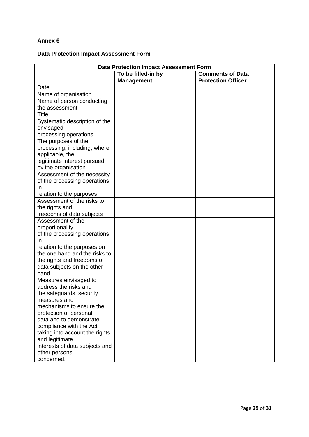# **Data Protection Impact Assessment Form**

| <b>Data Protection Impact Assessment Form</b>          |                    |                           |
|--------------------------------------------------------|--------------------|---------------------------|
|                                                        | To be filled-in by | <b>Comments of Data</b>   |
|                                                        | <b>Management</b>  | <b>Protection Officer</b> |
| Date                                                   |                    |                           |
| Name of organisation                                   |                    |                           |
| Name of person conducting                              |                    |                           |
| the assessment                                         |                    |                           |
| <b>Title</b>                                           |                    |                           |
| Systematic description of the                          |                    |                           |
| envisaged                                              |                    |                           |
| processing operations                                  |                    |                           |
| The purposes of the                                    |                    |                           |
| processing, including, where                           |                    |                           |
| applicable, the                                        |                    |                           |
| legitimate interest pursued                            |                    |                           |
| by the organisation<br>Assessment of the necessity     |                    |                           |
|                                                        |                    |                           |
| of the processing operations<br>in                     |                    |                           |
|                                                        |                    |                           |
| relation to the purposes<br>Assessment of the risks to |                    |                           |
| the rights and                                         |                    |                           |
| freedoms of data subjects                              |                    |                           |
| Assessment of the                                      |                    |                           |
| proportionality                                        |                    |                           |
| of the processing operations                           |                    |                           |
| in.                                                    |                    |                           |
| relation to the purposes on                            |                    |                           |
| the one hand and the risks to                          |                    |                           |
| the rights and freedoms of                             |                    |                           |
| data subjects on the other                             |                    |                           |
| hand                                                   |                    |                           |
| Measures envisaged to                                  |                    |                           |
| address the risks and                                  |                    |                           |
| the safeguards, security                               |                    |                           |
| measures and                                           |                    |                           |
| mechanisms to ensure the                               |                    |                           |
| protection of personal                                 |                    |                           |
| data and to demonstrate                                |                    |                           |
| compliance with the Act,                               |                    |                           |
| taking into account the rights                         |                    |                           |
| and legitimate                                         |                    |                           |
| interests of data subjects and                         |                    |                           |
| other persons                                          |                    |                           |
| concerned.                                             |                    |                           |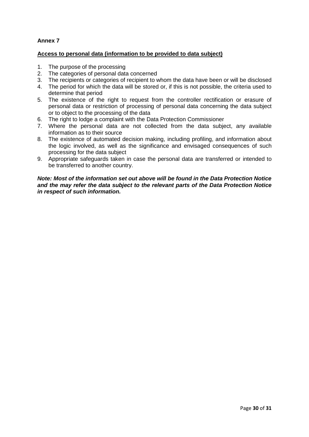#### **Access to personal data (information to be provided to data subject)**

- 1. The purpose of the processing
- 2. The categories of personal data concerned
- 3. The recipients or categories of recipient to whom the data have been or will be disclosed
- 4. The period for which the data will be stored or, if this is not possible, the criteria used to determine that period
- 5. The existence of the right to request from the controller rectification or erasure of personal data or restriction of processing of personal data concerning the data subject or to object to the processing of the data
- 6. The right to lodge a complaint with the Data Protection Commissioner
- 7. Where the personal data are not collected from the data subject, any available information as to their source
- 8. The existence of automated decision making, including profiling, and information about the logic involved, as well as the significance and envisaged consequences of such processing for the data subject
- 9. Appropriate safeguards taken in case the personal data are transferred or intended to be transferred to another country.

*Note: Most of the information set out above will be found in the Data Protection Notice and the may refer the data subject to the relevant parts of the Data Protection Notice in respect of such information.*